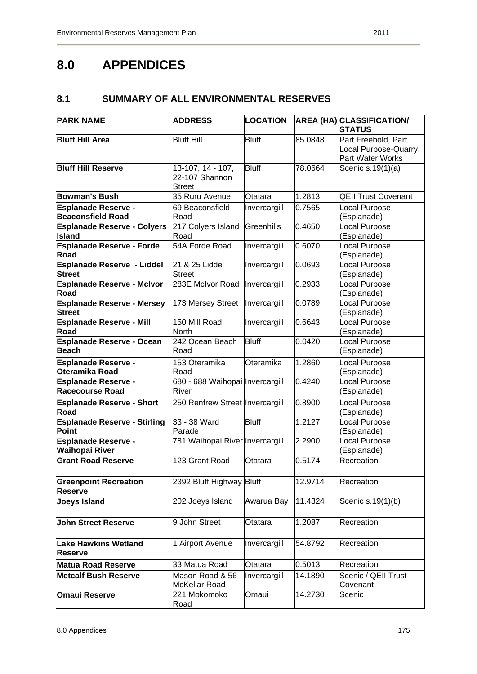# **8.0 APPENDICES**

# **8.1 SUMMARY OF ALL ENVIRONMENTAL RESERVES**

| <b>PARK NAME</b>                                       | <b>ADDRESS</b>                                       | <b>LOCATION</b> |         | <b>AREA (HA) CLASSIFICATION/</b><br><b>STATUS</b>                |
|--------------------------------------------------------|------------------------------------------------------|-----------------|---------|------------------------------------------------------------------|
| <b>Bluff Hill Area</b>                                 | <b>Bluff Hill</b>                                    | <b>Bluff</b>    | 85.0848 | Part Freehold, Part<br>Local Purpose-Quarry,<br>Part Water Works |
| <b>Bluff Hill Reserve</b>                              | 13-107, 14 - 107,<br>22-107 Shannon<br><b>Street</b> | <b>Bluff</b>    | 78.0664 | Scenic s.19(1)(a)                                                |
| <b>Bowman's Bush</b>                                   | 35 Ruru Avenue                                       | Otatara         | 1.2813  | <b>QEII Trust Covenant</b>                                       |
| <b>Esplanade Reserve -</b><br><b>Beaconsfield Road</b> | 69 Beaconsfield<br>Road                              | Invercargill    | 0.7565  | Local Purpose<br>(Esplanade)                                     |
| <b>Esplanade Reserve - Colyers</b><br><b>Island</b>    | 217 Colyers Island<br>Road                           | Greenhills      | 0.4650  | Local Purpose<br>(Esplanade)                                     |
| <b>Esplanade Reserve - Forde</b><br>Road               | 54A Forde Road                                       | Invercargill    | 0.6070  | Local Purpose<br>(Esplanade)                                     |
| <b>Esplanade Reserve - Liddel</b><br><b>Street</b>     | 21 & 25 Liddel<br><b>Street</b>                      | Invercargill    | 0.0693  | Local Purpose<br>(Esplanade)                                     |
| <b>Esplanade Reserve - McIvor</b><br>Road              | 283E McIvor Road                                     | Invercargill    | 0.2933  | Local Purpose<br>(Esplanade)                                     |
| <b>Esplanade Reserve - Mersey</b><br><b>Street</b>     | 173 Mersey Street  Invercargill                      |                 | 0.0789  | Local Purpose<br>(Esplanade)                                     |
| <b>Esplanade Reserve - Mill</b><br>Road                | 150 Mill Road<br>North                               | Invercargill    | 0.6643  | Local Purpose<br>(Esplanade)                                     |
| <b>Esplanade Reserve - Ocean</b><br><b>Beach</b>       | 242 Ocean Beach<br>Road                              | <b>Bluff</b>    | 0.0420  | Local Purpose<br>(Esplanade)                                     |
| <b>Esplanade Reserve -</b><br>Oteramika Road           | 153 Oteramika<br>Road                                | Oteramika       | 1.2860  | Local Purpose<br>(Esplanade)                                     |
| <b>Esplanade Reserve -</b><br><b>Racecourse Road</b>   | 680 - 688 Waihopai Invercargill<br>River             |                 | 0.4240  | Local Purpose<br>(Esplanade)                                     |
| <b>Esplanade Reserve - Short</b><br><b>Road</b>        | 250 Renfrew Street Invercargill                      |                 | 0.8900  | Local Purpose<br>(Esplanade)                                     |
| <b>Esplanade Reserve - Stirling</b><br><b>Point</b>    | 33 - 38 Ward<br>Parade                               | <b>Bluff</b>    | 1.2127  | Local Purpose<br>(Esplanade)                                     |
| <b>Esplanade Reserve -</b><br><b>Waihopai River</b>    | 781 Waihopai River Invercargill                      |                 | 2.2900  | Local Purpose<br>(Esplanade)                                     |
| <b>Grant Road Reserve</b>                              | 123 Grant Road                                       | Otatara         | 0.5174  | Recreation                                                       |
| <b>Greenpoint Recreation</b><br><b>Reserve</b>         | 2392 Bluff Highway Bluff                             |                 | 12.9714 | Recreation                                                       |
| <b>Joeys Island</b>                                    | 202 Joeys Island                                     | Awarua Bay      | 11.4324 | Scenic s.19(1)(b)                                                |
| <b>John Street Reserve</b>                             | 9 John Street                                        | Otatara         | 1.2087  | Recreation                                                       |
| Lake Hawkins Wetland<br><b>Reserve</b>                 | 1 Airport Avenue                                     | Invercargill    | 54.8792 | Recreation                                                       |
| <b>Matua Road Reserve</b>                              | 33 Matua Road                                        | Otatara         | 0.5013  | Recreation                                                       |
| <b>Metcalf Bush Reserve</b>                            | Mason Road & 56<br>McKellar Road                     | Invercargill    | 14.1890 | Scenic / QEII Trust<br>Covenant                                  |
| <b>Omaui Reserve</b>                                   | 221 Mokomoko<br>Road                                 | Omaui           | 14.2730 | Scenic                                                           |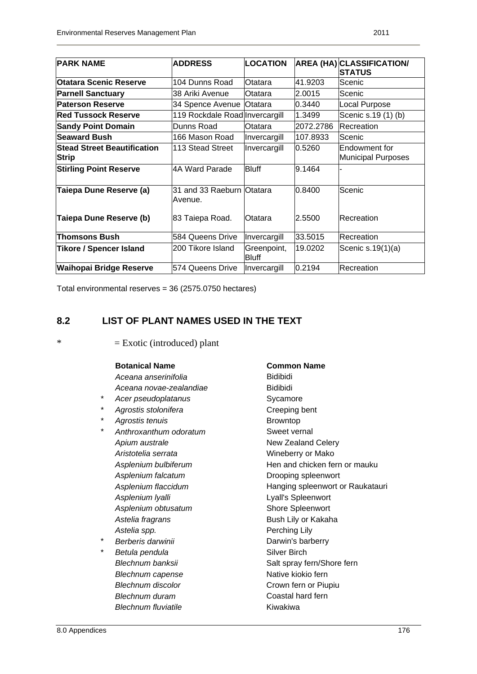| <b>PARK NAME</b>                   | <b>ADDRESS</b>                 | LOCATION     |           | <b>AREA (HA) CLASSIFICATION/</b> |
|------------------------------------|--------------------------------|--------------|-----------|----------------------------------|
|                                    |                                |              |           | <b>STATUS</b>                    |
| <b>Otatara Scenic Reserve</b>      | 104 Dunns Road                 | Otatara      | 41.9203   | Scenic                           |
| <b>Parnell Sanctuary</b>           | 38 Ariki Avenue                | Otatara      | 2.0015    | Scenic                           |
| <b>Paterson Reserve</b>            | 34 Spence Avenue Otatara       |              | 0.3440    | Local Purpose                    |
| <b>Red Tussock Reserve</b>         | 119 Rockdale Road Invercargill |              | 1.3499    | Scenic s.19 (1) (b)              |
| <b>Sandy Point Domain</b>          | Dunns Road                     | Otatara      | 2072.2786 | Recreation                       |
| <b>Seaward Bush</b>                | 166 Mason Road                 | Invercargill | 107.8933  | Scenic                           |
| <b>Stead Street Beautification</b> | 113 Stead Street               | Invercargill | 0.5260    | Endowment for                    |
| <b>Strip</b>                       |                                |              |           | Municipal Purposes               |
| <b>Stirling Point Reserve</b>      | 4A Ward Parade                 | <b>Bluff</b> | 9.1464    |                                  |
|                                    |                                |              |           |                                  |
| Taiepa Dune Reserve (a)            | 31 and 33 Raeburn Otatara      |              | 0.8400    | Scenic                           |
|                                    | Avenue.                        |              |           |                                  |
| Taiepa Dune Reserve (b)            |                                | Otatara      | 2.5500    | <b>Recreation</b>                |
|                                    | 83 Taiepa Road.                |              |           |                                  |
| <b>Thomsons Bush</b>               | 584 Queens Drive               | Invercargill | 33.5015   | Recreation                       |
| <b>Tikore / Spencer Island</b>     | 200 Tikore Island              | Greenpoint,  | 19.0202   | Scenic $s.19(1)(a)$              |
|                                    |                                | <b>Bluff</b> |           |                                  |
| Waihopai Bridge Reserve            | 574 Queens Drive               | Invercargill | 0.2194    | Recreation                       |

Total environmental reserves = 36 (2575.0750 hectares)

## **8.2 LIST OF PLANT NAMES USED IN THE TEXT**

 $*$  = Exotic (introduced) plant

### **Botanical Name Common Name**

- Aceana anserinifolia **bidibidi** Aceana novae-zealandiae **Bidibidi**
- Acer pseudoplatanus **Sycamore**
- Agrostis stolonifera **Creeping bent**
- Agrostis tenuis **Browntop**
- Anthroxanthum odoratum **Sweet vernal** *Apium australe* **New Zealand Celery** *Aristotelia serrata* Wineberry or Mako Asplenium falcatum **b**rooping spleenwort *Asplenium lyalli* Lyall's Spleenwort Asplenium obtusatum **Shore Spleenwort** Astelia fragrans **Bush Lily or Kakaha** Astelia spp. **Perching Lily**
- **Betula pendula Silver Birch** *Blechnum capense* **Native kiokio fern** *Blechnum duram* **Coastal hard fern** *Blechnum fluviatile* **Kiwakiwa**

Asplenium bulbiferum **Fig. 2018** Hen and chicken fern or mauku *Asplenium flaccidum* Hanging spleenwort or Raukatauri **Berberis darwinii** *Berberis* darwinii **Darwin's barberry** *Blechnum banksii* **Salt spray fern/Shore fern Blechnum discolor Crown fern or Piupiu**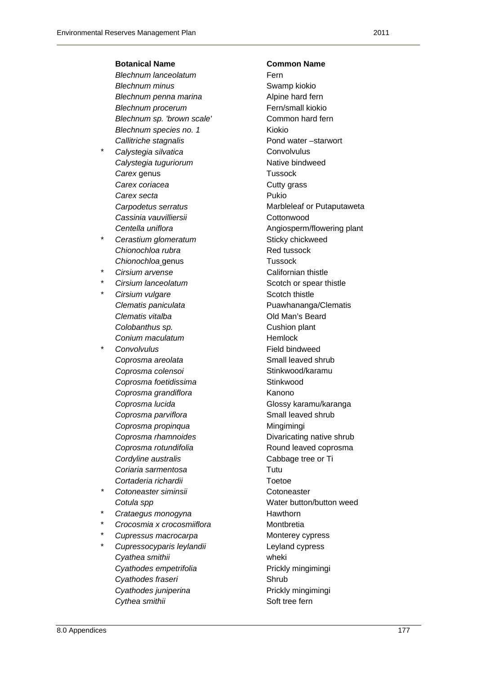### **Botanical Name Common Name**

**Blechnum lanceolatum Fern** *Blechnum minus* Swamp kiokio **Blechnum penna marina Alpine hard fern** *Blechnum procerum* **Fern/small kiokio** *Blechnum sp. 'brown scale'* **Common hard fern Blechnum species no. 1** Kiokio *Callitriche stagnalis* Pond water –starwort

- Calystegia silvatica **Convolvulus** Convolvulus **Calystegia tuguriorum Native bindweed [Carex](http://en.wikipedia.org/wiki/Carex)** genus **Tussock Carex coriacea Cutty grass** *Carex secta* **Pukio** Cassinia vauvilliersii **Contract Contract Cottonwood**
- **Cerastium glomeratum Cerastium glomeratum Sticky chickweed Chionochloa rubra Red tussock [Chionochloa](http://en.wikipedia.org/wiki/Chionochloa)** genus Tussock
- 
- 
- **Cirsium vulgare Scotch thistle Clematis vitalba Clematis vitalba Clematis vitalba Clematis vitalba Clematis 10 Colobanthus sp. Cushion plant Conium maculatum**  Hemlock
- \* *Convolvulus* Field bindweed **Coprosma areolata Small leaved shrub Small leaved shrub** Coprosma colensoi **belangua colensoi** Stinkwood/karamu **Coprosma foetidissima Stinkwood** *Coprosma grandiflora* Kanono **Coprosma parviflora SMALL SMALL SMALL SMALL SMALL SMALL SMALL SMALL SMALL SMALL SMALL SMALL SMALL SMALL SMALL SMALL SMALL SMALL SMALL SMALL SMALL SMALL SMALL SMALL SMALL Coprosma propinqua Mingimingi Cordyline australis Cabbage tree or Ti** *Coriaria sarmentosa* Tutu *Cortaderia richardii* Toetoe
- **Cotoneaster siminsii biographic contracts conceaster** contracts contracts contracts contracts contracts contracts contracts contracts contracts contracts contracts contracts contracts contracts contracts contracts contrac
- \* *Crataegus monogyna* Hawthorn
- \* *Crocosmia x crocosmiiflora* Montbretia
- **Cupressus macrocarpa Monterey cypress**
- \* *Cupressocyparis leylandii* Leyland cypress *Cyathea smithii* wheki *Cyathodes empetrifolia* Prickly mingimingi **Cyathodes fraseri Shrub Shrub** *Cyathodes juniperina* Prickly mingimingi **Cythea smithii Soft tree fern**

*Carpodetus serratus* Marbleleaf or Putaputaweta **Centella uniflora Angiosperm/flowering plant Cirsium arvense Californian thistle Cirsium lanceolatum**  Scotch or spear thistle *Clematis paniculata* Puawhananga/Clematis *Coprosma lucida* Glossy karamu/karanga **Coprosma rhamnoides Divaricating native shrub** *Coprosma rotundifolia* Round leaved coprosma **Cotula spp Cotula spp Cotula spp Water button/button weed**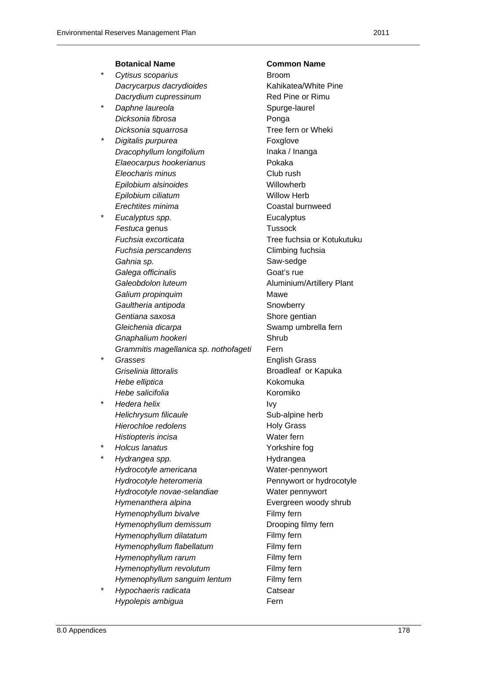### **Botanical Name Common Name**  \* *Cytisus scoparius* Broom *Dacrycarpus dacrydioides* Kahikatea/White Pine **Dacrydium cupressinum** Red Pine or Rimu **Daphne laureola Spurge-laurel Spurge-laurel** *Dicksonia fibrosa* Ponga *Dicksonia squarrosa* Tree fern or Wheki *Digitalis purpurea* **Foxglove** *Dracophyllum longifolium* Inaka / Inanga *Elaeocarpus hookerianus* Pokaka *Eleocharis minus* Club rush **Epilobium alsinoides Willowherb** *Epilobium ciliatum* **Willow Herb** *Erechtites minima* **Coastal burnweed** \* *Eucalyptus spp.* Eucalyptus **[Festuca](http://en.wikipedia.org/wiki/Festuca)** genus **Tussock** *Fuchsia excorticata* Tree fuchsia or Kotukutuku **Fuchsia perscandens Climbing fuchsia** Gahnia sp. **Sample Saw-sedge** Saw-sedge Galega officinalis **Galega of Community** Goat's rue Galeobdolon luteum **Aluminium/Artillery Plant Galium propinquim Mawe Gaultheria antipoda Snowberry Snowberry Gentiana saxosa** Shore gentian *Gleichenia dicarpa* Swamp umbrella fern **Gnaphalium hookeri Shrub** *Grammitis magellanica sp. nothofageti* Fern \* *Grasses* English Grass *Griselinia littoralis* Broadleaf or Kapuka *Hebe elliptica* Kokomuka *Hebe salicifolia* Koromiko \* *Hedera helix* Ivy *Helichrysum filicaule* **Sub-alpine herb** Sub-alpine herb *Hierochloe redolens* **Holy Grass Histiopteris incisa Water fern** \* *Holcus lanatus* Yorkshire fog \* *Hydrangea spp.* Hydrangea *Hydrocotyle americana* Water-pennywort *Hydrocotyle heteromeria* Pennywort or hydrocotyle *Hydrocotyle novae-selandiae* Water pennywort *Hymenanthera alpina* Evergreen woody shrub *Hymenophyllum bivalve* **Filmy fern** *Hymenophyllum demissum* **Drooping filmy fern** *Hymenophyllum dilatatum* Filmy fern *Hymenophyllum flabellatum* Filmy fern *Hymenophyllum rarum* Filmy fern *Hymenophyllum revolutum* **Filmy** fern *Hymenophyllum sanguim lentum* Filmy fern

\* *Hypochaeris radicata* Catsear *Hypolepis ambigua* **Fern**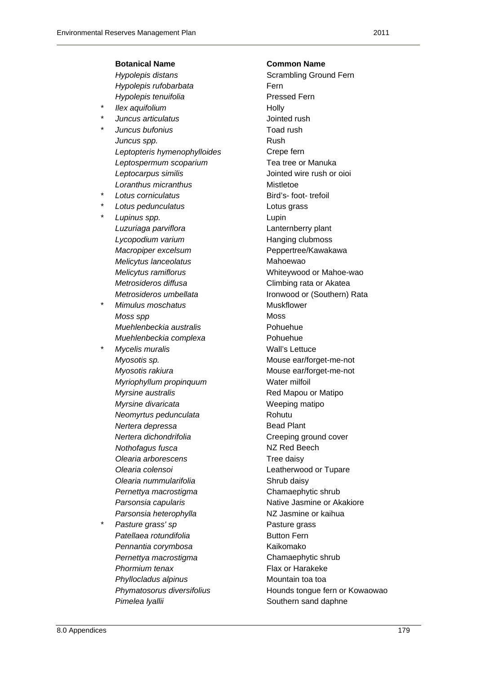|   | <b>Botanical Name</b>        | <b>Common Name</b>          |
|---|------------------------------|-----------------------------|
|   | Hypolepis distans            | Scrambling Ground Fern      |
|   | Hypolepis rufobarbata        | Fern                        |
|   | Hypolepis tenuifolia         | <b>Pressed Fern</b>         |
| * | Ilex aquifolium              | Holly                       |
| * | Juncus articulatus           | Jointed rush                |
| * | Juncus bufonius              | Toad rush                   |
|   | Juncus spp.                  | Rush                        |
|   | Leptopteris hymenophylloides | Crepe fern                  |
|   | Leptospermum scoparium       | Tea tree or Manuka          |
|   | Leptocarpus similis          | Jointed wire rush or oioi   |
|   | Loranthus micranthus         | Mistletoe                   |
| * | Lotus corniculatus           | Bird's- foot- trefoil       |
| * | Lotus pedunculatus           | Lotus grass                 |
| * | Lupinus spp.                 | Lupin                       |
|   | Luzuriaga parviflora         | Lanternberry plant          |
|   | Lycopodium varium            | Hanging clubmoss            |
|   | Macropiper excelsum          | Peppertree/Kawakawa         |
|   | Melicytus lanceolatus        | Mahoewao                    |
|   | Melicytus ramiflorus         | Whiteywood or Mahoe-wao     |
|   | Metrosideros diffusa         | Climbing rata or Akatea     |
|   | Metrosideros umbellata       | Ironwood or (Southern) Rata |
| * | Mimulus moschatus            | <b>Muskflower</b>           |
|   | Moss spp                     | Moss                        |
|   | Muehlenbeckia australis      | Pohuehue                    |
|   | Muehlenbeckia complexa       | Pohuehue                    |
| * | Mycelis muralis              | <b>Wall's Lettuce</b>       |
|   | Myosotis sp.                 | Mouse ear/forget-me-not     |
|   | Myosotis rakiura             | Mouse ear/forget-me-not     |
|   | Myriophyllum propinquum      | Water milfoil               |
|   | Myrsine australis            | Red Mapou or Matipo         |
|   | Myrsine divaricata           | Weeping matipo              |
|   | Neomyrtus pedunculata        | Rohutu                      |
|   | Nertera depressa             | <b>Bead Plant</b>           |
|   | Nertera dichondrifolia       | Creeping ground cover       |
|   | Nothofagus fusca             | NZ Red Beech                |
|   | Olearia arborescens          | Tree daisy                  |
|   | Olearia colensoi             | Leatherwood or Tupare       |
|   | Olearia nummularifolia       | Shrub daisy                 |
|   | Pernettya macrostigma        | Chamaephytic shrub          |
|   | Parsonsia capularis          | Native Jasmine or Akakiore  |
|   | Parsonsia heterophylla       | NZ Jasmine or kaihua        |
| * | Pasture grass' sp            | Pasture grass               |
|   | Patellaea rotundifolia       | <b>Button Fern</b>          |
|   | Pennantia corymbosa          | Kaikomako                   |
|   | Pernettya macrostigma        | Chamaephytic shrub          |
|   | Phormium tenax               | Flax or Harakeke            |
|   |                              |                             |

8.0 Appendices 179 Phyllocladus alpinus **Mountain** toa toa *Phymatosorus diversifolius* Hounds tongue fern or Kowaowao Pimelea lyallii *Pimelea lyallii* **Southern sand daphne**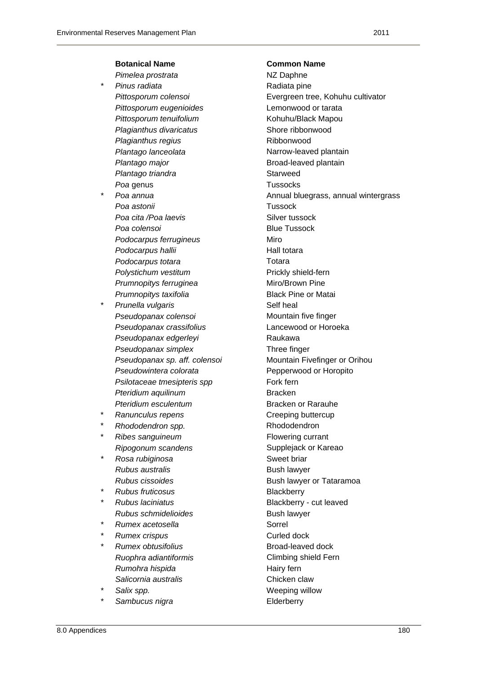### **Botanical Name Common Name**

- **Pimelea prostrata NZ Daphne Pinus radiata According to Pinus radiata** pine *Pittosporum eugenioides* Lemonwood or tarata **Pittosporum tenuifolium Kohuhu/Black Mapou Plagianthus divaricatus Shore ribbonwood Plagianthus regius Ribbonwood Plantago lanceolata Narrow-leaved plantain Plantago major Broad-leaved plantain Plantago triandra Starweed Poa genus** Tussocks
- *Poa astonii* Tussock **Poa cita /Poa laevis Silver tussock Poa colensoi Blue Tussock Podocarpus ferrugineus Miro Podocarpus hallii Hall totara Podocarpus totara Totara Totara** *Polystichum vestitum* Prickly shield-fern **Prumnopitys ferruginea Miro/Brown Pine** *Prumnopitys taxifolia* Black Pine or Matai
- **Prunella vulgaris Self heal Pseudopanax colensoi** Mountain five finger *Pseudopanax crassifolius* Lancewood or Horoeka Pseudopanax edgerleyi **berkenak akawa Pseudopanax simplex** Three finger *Pseudopanax sp. aff. colensoi* **Mountain Fivefinger or Orihou** *Pseudowintera colorata* Pepperwood or Horopito **Psilotaceae tmesipteris spp Fork fern** *Pteridium aquilinum* **Bracken Pteridium esculentum**  Bracken or Rarauhe
- **Ranunculus repens Creeping buttercup**
- \* *Rhododendron spp.* Rhododendron
- **Ribes sanguineum Flowering currant**
- **Rosa rubiginosa Sweet briar Sweet briar Rubus australis Bush lawyer**
- \* *Rubus fruticosus* Blackberry
- **Rubus schmidelioides Bush lawyer**
- **Rumex acetosella Sorrel**
- **Rumex crispus Curled dock**
- **Rumex obtusifolius Broad-leaved dock Ruophra adiantiformis Climbing shield Fern Rumohra hispida Hairy fern Salicornia australis Chicken claw**
- 
- Sambucus nigra **belief and the Elderberry**

*Pittosporum colensoi* Evergreen tree, Kohuhu cultivator Poa annua **Poa annua Annual bluegrass**, annual wintergrass *Ripogonum scandens* Supplejack or Kareao **Rubus cissoides Bush lawyer or Tataramoa** \* *Rubus laciniatus* Blackberry - cut leaved Salix spp. **Example 20** Salix spp. **Weeping willow**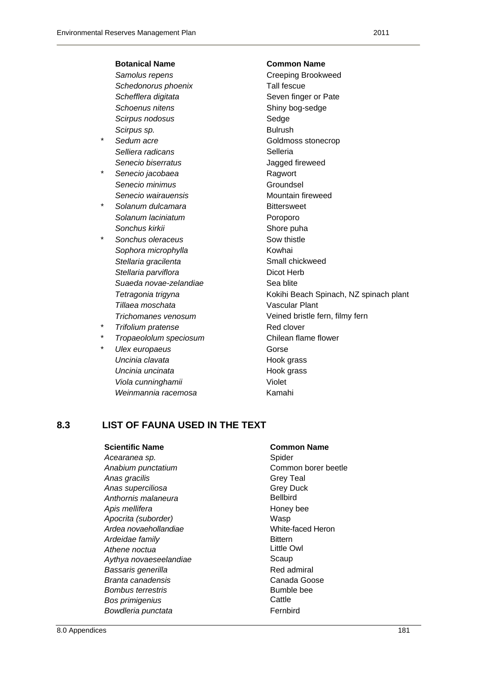|   | <b>Botanical Name</b>  | <b>Common Name</b>                     |
|---|------------------------|----------------------------------------|
|   | Samolus repens         | Creeping Brookweed                     |
|   | Schedonorus phoenix    | Tall fescue                            |
|   | Schefflera digitata    | Seven finger or Pate                   |
|   | Schoenus nitens        | Shiny bog-sedge                        |
|   | Scirpus nodosus        | Sedge                                  |
|   | Scirpus sp.            | <b>Bulrush</b>                         |
| * | Sedum acre             | Goldmoss stonecrop                     |
|   | Selliera radicans      | Selleria                               |
|   | Senecio biserratus     | Jagged fireweed                        |
| * | Senecio jacobaea       | Ragwort                                |
|   | Senecio minimus        | Groundsel                              |
|   | Senecio wairauensis    | Mountain fireweed                      |
| * | Solanum dulcamara      | <b>Bittersweet</b>                     |
|   | Solanum laciniatum     | Poroporo                               |
|   | Sonchus kirkii         | Shore puha                             |
| * | Sonchus oleraceus      | Sow thistle                            |
|   | Sophora microphylla    | Kowhai                                 |
|   | Stellaria gracilenta   | Small chickweed                        |
|   | Stellaria parviflora   | Dicot Herb                             |
|   | Suaeda novae-zelandiae | Sea blite                              |
|   | Tetragonia trigyna     | Kokihi Beach Spinach, NZ spinach plant |
|   | Tillaea moschata       | <b>Vascular Plant</b>                  |
|   | Trichomanes venosum    | Veined bristle fern, filmy fern        |
| * | Trifolium pratense     | Red clover                             |
| * | Tropaeololum speciosum | Chilean flame flower                   |
| * | Ulex europaeus         | Gorse                                  |
|   | Uncinia clavata        | Hook grass                             |
|   | Uncinia uncinata       | Hook grass                             |
|   | Viola cunninghamii     | Violet                                 |
|   | Weinmannia racemosa    | Kamahi                                 |

### **8.3 LIST OF FAUNA USED IN THE TEXT**

| Acearanea sp.            | Spider          |
|--------------------------|-----------------|
| Anabium punctatium       | Commor          |
| Anas gracilis            | <b>Grey Tea</b> |
| Anas superciliosa        | Grey Du         |
| Anthornis malaneura      | Bellbird        |
| Apis mellifera           | Honey be        |
| Apocrita (suborder)      | Wasp            |
| Ardea novaehollandiae    | White-fac       |
| Ardeidae family          | <b>Bittern</b>  |
| Athene noctua            | Little Ow       |
| Aythya novaeseelandiae   | Scaup           |
| Bassaris generilla       | Red adm         |
| Branta canadensis        | Canada⊣         |
| <b>Bombus terrestris</b> | Bumble b        |
| Bos primigenius          | Cattle          |
| Bowdleria punctata       | Fernbird        |
|                          |                 |

### **Scientific Name**  Common Name

Spider **Common borer beetle** *Analy* Teal *Anas superciliosa* Grey Duck *Anthornis malaneura* Bellbird **Honey bee** *Apocrita (suborder)* Wasp **White-faced Heron Bittern Little Owl** Scaup *Bassaris generilla* Red admiral *Branta canadensis* Canada Goose **Bumble bee Cattle**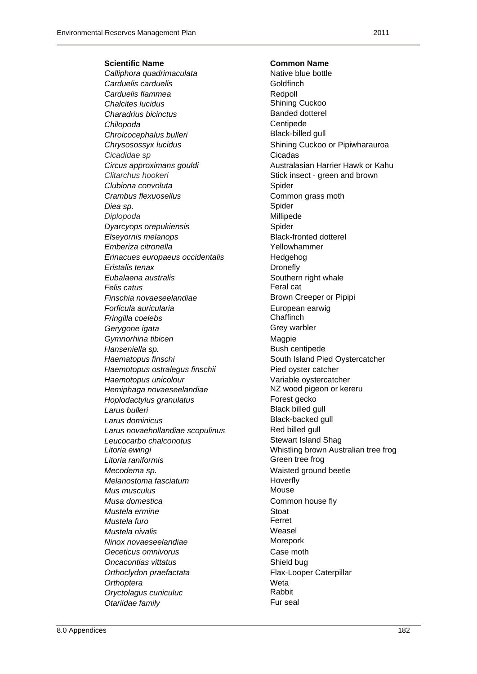**Scientific Name Common Name** 

Calliphora quadrimaculata **Native blue bottle Carduelis carduelis Goldfinch Carduelis flammea**<br>
Chalcites lucidus<br>
Chalcites lucidus **Chalcites lucidus Charadrius bicinctus Banded dotterel** *Chilopoda* Centipede **Chroicocephalus bulleri Black-billed gull** *Cicadidae sp* Cicadas **Clitarchus hookeri Stick insect - green and brown** Stick insect - green and brown **Clubiona convoluta Spider Spider Crambus flexuosellus Common grass moth** *Diea sp.* Spider *Diplopoda* Millipede **Dyarcyops orepukiensis Spider** Spider *Elseyornis melanops* Black-fronted dotterel *Emberiza citronella* Yellowhammer *Erinacues europaeus occidentalis* Hedgehog *Eristalis tenax* **Dronefly Eubalaena australis Southern right whale** *Felis catus* Feral cat **Finschia novaeseelandiae Brown Creeper or Pipipi Forficula auricularia European earwig** *Fringilla coelebs* Chaffinch Gerygone igata **Grey Ware Gymnorhina tibicen Magpie Magpie Hanseniella sp. blue community is a set of the Bush centipede** *Haematopus finschi* South Island Pied Oystercatcher *Haemotopus ostralegus finschii* Pied oyster catcher *Haemotopus unicolour* Variable oystercatcher *Hemiphaga novaeseelandiae* **NZ** wood pigeon or kereru *Hoplodactylus granulatus* Forest gecko **Larus bulleri Contract Contract Contract Contract Contract Contract Contract Contract Contract Contract Contract Contract Contract Contract Contract Contract Contract Contract Contract Contract Contract Contract Contrac** *Larus dominicus* Black-backed gull Larus novaehollandiae scopulinus **Red billed gull** *Leucocarbo chalconotus* Stewart Island Shag **Litoria raniformis Green tree frog** *Mecodema sp.* Waisted ground beetle *Melanostoma fasciatum* **Hoverfly** *Mus musculus* **Mouse** *Musa domestica* **Common house fly** *Mustela ermine* **Stoat** *Mustela furo* **Ferret** *Mustela nivalis* **Weasel** *Ninox novaeseelandiae* Morepork **Oeceticus omnivorus Case moth Oncacontias vittatus Shield bug Shield bug** *Orthoclydon praefactata* Flax-Looper Caterpillar *Orthoptera* Weta **Oryctolagus cuniculuc Otariidae family Fur seal** 

*Chrysosossyx lucidus* Shining Cuckoo or Pipiwharauroa *Circus approximans gouldi* Australasian Harrier Hawk or Kahu *Litoria ewingi* Whistling brown Australian tree frog